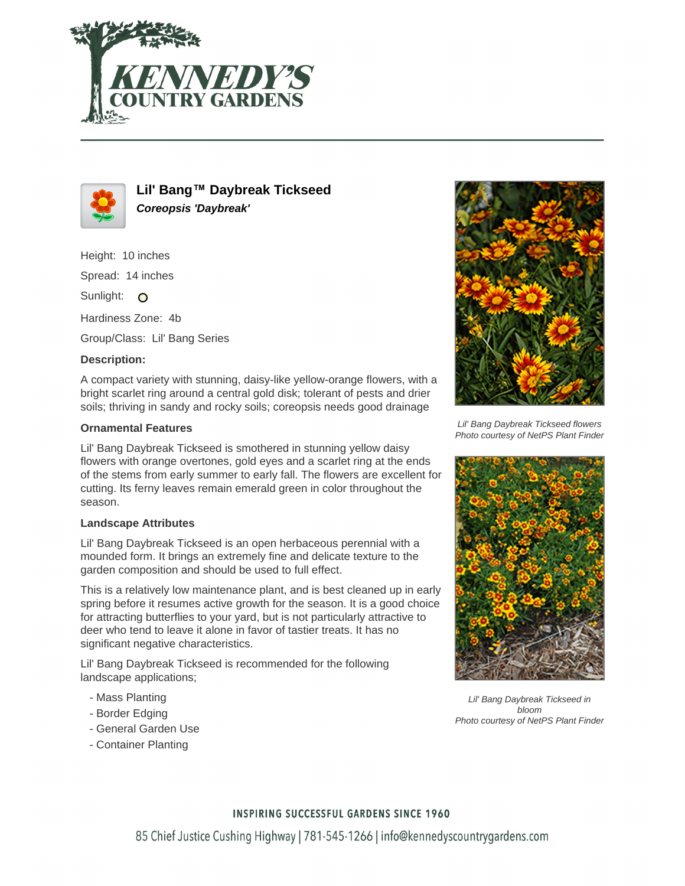



**Lil' Bang™ Daybreak Tickseed Coreopsis 'Daybreak'**

Height: 10 inches

Spread: 14 inches

Sunlight: O

Hardiness Zone: 4b

Group/Class: Lil' Bang Series

# **Description:**

A compact variety with stunning, daisy-like yellow-orange flowers, with a bright scarlet ring around a central gold disk; tolerant of pests and drier soils; thriving in sandy and rocky soils; coreopsis needs good drainage

# **Ornamental Features**

Lil' Bang Daybreak Tickseed is smothered in stunning yellow daisy flowers with orange overtones, gold eyes and a scarlet ring at the ends of the stems from early summer to early fall. The flowers are excellent for cutting. Its ferny leaves remain emerald green in color throughout the season.

### **Landscape Attributes**

Lil' Bang Daybreak Tickseed is an open herbaceous perennial with a mounded form. It brings an extremely fine and delicate texture to the garden composition and should be used to full effect.

This is a relatively low maintenance plant, and is best cleaned up in early spring before it resumes active growth for the season. It is a good choice for attracting butterflies to your yard, but is not particularly attractive to deer who tend to leave it alone in favor of tastier treats. It has no significant negative characteristics.

Lil' Bang Daybreak Tickseed is recommended for the following landscape applications;

- Mass Planting
- Border Edging
- General Garden Use
- Container Planting



Lil' Bang Daybreak Tickseed flowers Photo courtesy of NetPS Plant Finder



Lil' Bang Daybreak Tickseed in bloom Photo courtesy of NetPS Plant Finder

### **INSPIRING SUCCESSFUL GARDENS SINCE 1960**